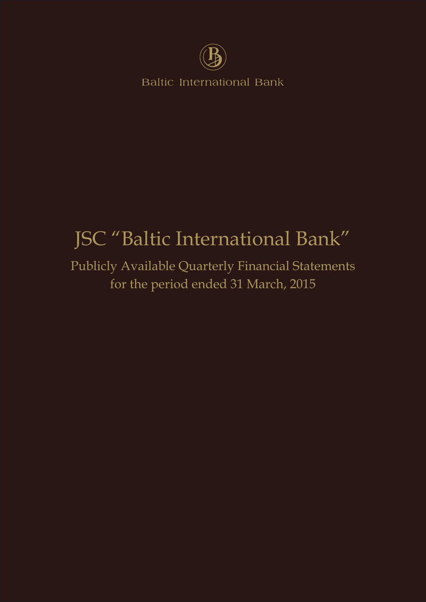

**Baltic International Bank** 

# JSC "Baltic International Bank"

Publicly Available Quarterly Financial Statements for the period ended 31 March, 2015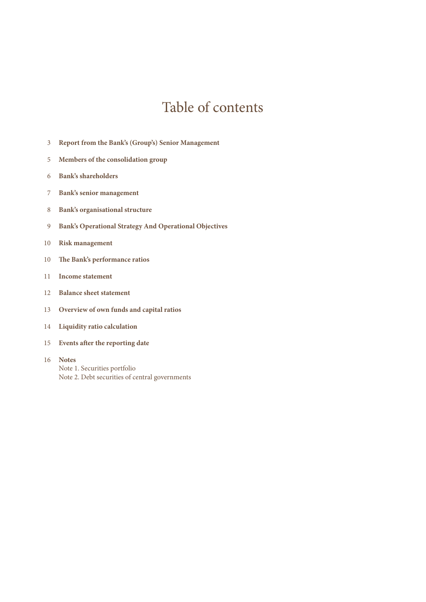### Table of contents

- **Report from the Bank's (Group's) Senior Management**
- **Members of the consolidation group**
- **Bank's shareholders**
- **Bank's senior management**
- **Bank's organisational structure**
- **Bank's Operational Strategy And Operational Objectives**
- **Risk management**
- **The Bank's performance ratios**
- **Income statement**
- **Balance sheet statement**
- **Overview of own funds and capital ratios**
- **Liquidity ratio calculation**
- **Events after the reporting date**
- **Notes** Note 1. Securities portfolio Note 2. Debt securities of central governments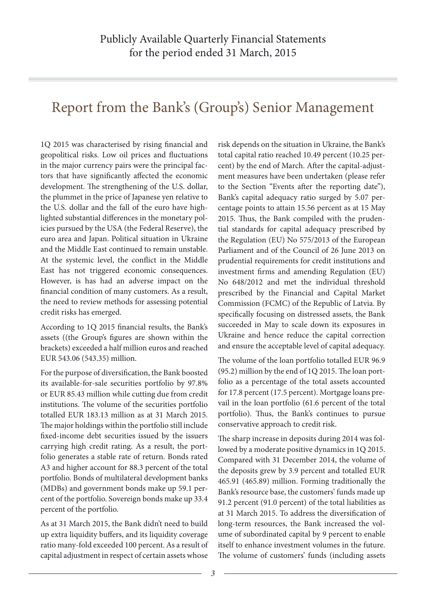### Report from the Bank's (Group's) Senior Management

1Q 2015 was characterised by rising financial and geopolitical risks. Low oil prices and fluctuations in the major currency pairs were the principal factors that have significantly affected the economic development. The strengthening of the U.S. dollar, the plummet in the price of Japanese yen relative to the U.S. dollar and the fall of the euro have highlighted substantial differences in the monetary policies pursued by the USA (the Federal Reserve), the euro area and Japan. Political situation in Ukraine and the Middle East continued to remain unstable. At the systemic level, the conflict in the Middle East has not triggered economic consequences. However, is has had an adverse impact on the financial condition of many customers. As a result, the need to review methods for assessing potential credit risks has emerged.

According to 1Q 2015 financial results, the Bank's assets ((the Group's figures are shown within the brackets) exceeded a half million euros and reached EUR 543.06 (543.35) million.

For the purpose of diversification, the Bank boosted its available-for-sale securities portfolio by 97.8% or EUR 85.43 million while cutting due from credit institutions. The volume of the securities portfolio totalled EUR 183.13 million as at 31 March 2015. The major holdings within the portfolio still include fixed-income debt securities issued by the issuers carrying high credit rating. As a result, the portfolio generates a stable rate of return. Bonds rated A3 and higher account for 88.3 percent of the total portfolio. Bonds of multilateral development banks (MDBs) and government bonds make up 59.1 percent of the portfolio. Sovereign bonds make up 33.4 percent of the portfolio.

As at 31 March 2015, the Bank didn't need to build up extra liquidity buffers, and its liquidity coverage ratio many-fold exceeded 100 percent. As a result of capital adjustment in respect of certain assets whose risk depends on the situation in Ukraine, the Bank's total capital ratio reached 10.49 percent (10.25 percent) by the end of March. After the capital-adjustment measures have been undertaken (please refer to the Section "Events after the reporting date"), Bank's capital adequacy ratio surged by 5.07 percentage points to attain 15.56 percent as at 15 May 2015. Thus, the Bank compiled with the prudential standards for capital adequacy prescribed by the Regulation (EU) No 575/2013 of the European Parliament and of the Council of 26 June 2013 on prudential requirements for credit institutions and investment firms and amending Regulation (EU) No 648/2012 and met the individual threshold prescribed by the Financial and Capital Market Commission (FCMC) of the Republic of Latvia. By specifically focusing on distressed assets, the Bank succeeded in May to scale down its exposures in Ukraine and hence reduce the capital correction and ensure the acceptable level of capital adequacy.

The volume of the loan portfolio totalled EUR 96.9 (95.2) million by the end of 1Q 2015. The loan portfolio as a percentage of the total assets accounted for 17.8 percent (17.5 percent). Mortgage loans prevail in the loan portfolio (61.6 percent of the total portfolio). Thus, the Bank's continues to pursue conservative approach to credit risk.

The sharp increase in deposits during 2014 was followed by a moderate positive dynamics in 1Q 2015. Compared with 31 December 2014, the volume of the deposits grew by 3.9 percent and totalled EUR 465.91 (465.89) million. Forming traditionally the Bank's resource base, the customers' funds made up 91.2 percent (91.0 percent) of the total liabilities as at 31 March 2015. To address the diversification of long-term resources, the Bank increased the volume of subordinated capital by 9 percent to enable itself to enhance investment volumes in the future. The volume of customers' funds (including assets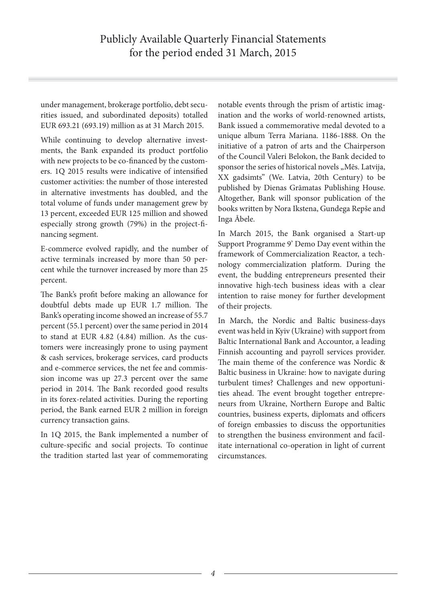under management, brokerage portfolio, debt securities issued, and subordinated deposits) totalled EUR 693.21 (693.19) million as at 31 March 2015.

While continuing to develop alternative investments, the Bank expanded its product portfolio with new projects to be co-financed by the customers. 1Q 2015 results were indicative of intensified customer activities: the number of those interested in alternative investments has doubled, and the total volume of funds under management grew by 13 percent, exceeded EUR 125 million and showed especially strong growth (79%) in the project-financing segment.

E-commerce evolved rapidly, and the number of active terminals increased by more than 50 percent while the turnover increased by more than 25 percent.

The Bank's profit before making an allowance for doubtful debts made up EUR 1.7 million. The Bank's operating income showed an increase of 55.7 percent (55.1 percent) over the same period in 2014 to stand at EUR 4.82 (4.84) million. As the customers were increasingly prone to using payment & cash services, brokerage services, card products and e-commerce services, the net fee and commission income was up 27.3 percent over the same period in 2014. The Bank recorded good results in its forex-related activities. During the reporting period, the Bank earned EUR 2 million in foreign currency transaction gains.

In 1Q 2015, the Bank implemented a number of culture-specific and social projects. To continue the tradition started last year of commemorating

notable events through the prism of artistic imagination and the works of world-renowned artists, Bank issued a commemorative medal devoted to a unique album Terra Mariana. 1186-1888. On the initiative of a patron of arts and the Chairperson of the Council Valeri Belokon, the Bank decided to sponsor the series of historical novels "Mēs. Latvija, XX gadsimts" (We. Latvia, 20th Century) to be published by Dienas Grāmatas Publishing House. Altogether, Bank will sponsor publication of the books written by Nora Ikstena, Gundega Repše and Inga Ābele.

In March 2015, the Bank organised a Start-up Support Programme 9' Demo Day event within the framework of Commercialization Reactor, a technology commercialization platform. During the event, the budding entrepreneurs presented their innovative high-tech business ideas with a clear intention to raise money for further development of their projects.

In March, the Nordic and Baltic business-days event was held in Kyiv (Ukraine) with support from Baltic International Bank and Accountor, a leading Finnish accounting and payroll services provider. The main theme of the conference was Nordic & Baltic business in Ukraine: how to navigate during turbulent times? Challenges and new opportunities ahead. The event brought together entrepreneurs from Ukraine, Northern Europe and Baltic countries, business experts, diplomats and officers of foreign embassies to discuss the opportunities to strengthen the business environment and facilitate international co-operation in light of current circumstances.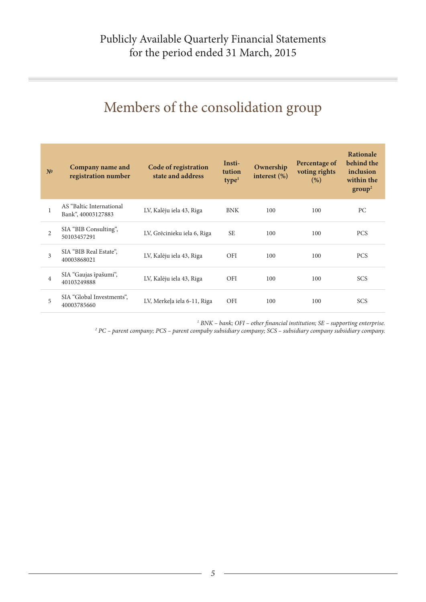# Members of the consolidation group

| N <sup>0</sup> | Company name and<br>registration number        | Code of registration<br>state and address | Insti-<br>tution<br>type <sup>1</sup> | Ownership<br>interest $(\%)$ | Percentage of<br>voting rights<br>(%) | <b>Rationale</b><br>behind the<br>inclusion<br>within the<br>group <sup>2</sup> |
|----------------|------------------------------------------------|-------------------------------------------|---------------------------------------|------------------------------|---------------------------------------|---------------------------------------------------------------------------------|
| 1              | AS "Baltic International<br>Bank", 40003127883 | LV, Kalēju iela 43, Riga                  | <b>BNK</b>                            | 100                          | 100                                   | PC                                                                              |
| $\overline{2}$ | SIA "BIB Consulting",<br>50103457291           | LV, Grēcinieku iela 6, Riga               | <b>SE</b>                             | 100                          | 100                                   | <b>PCS</b>                                                                      |
| 3              | SIA "BIB Real Estate",<br>40003868021          | LV, Kalēju iela 43, Riga                  | <b>OFI</b>                            | 100                          | 100                                   | <b>PCS</b>                                                                      |
| $\overline{4}$ | SIA "Gaujas īpašumi",<br>40103249888           | LV, Kalēju iela 43, Riga                  | <b>OFI</b>                            | 100                          | 100                                   | <b>SCS</b>                                                                      |
| 5              | SIA "Global Investments",<br>40003785660       | LV, Merkeļa iela 6-11, Riga               | <b>OFI</b>                            | 100                          | 100                                   | <b>SCS</b>                                                                      |

*1 BNK – bank; OFI – other financial institution; SE – supporting enterprise. 2 PC – parent company; PCS – parent compaby subsidiary company; SCS – subsidiary company subsidiary company.*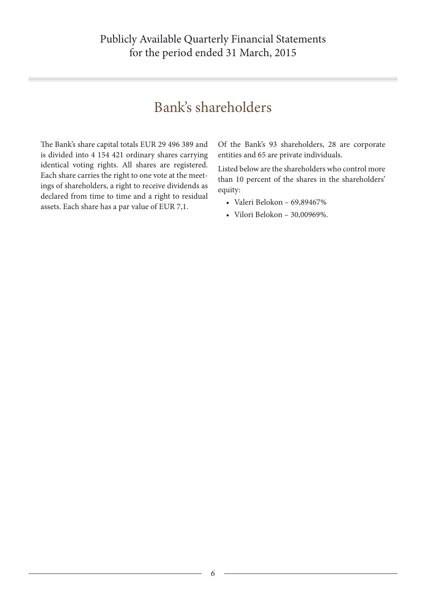### Bank's shareholders

The Вank's share capital totals EUR 29 496 389 and is divided into 4 154 421 ordinary shares carrying identical voting rights. All shares are registered. Each share carries the right to one vote at the meetings of shareholders, a right to receive dividends as declared from time to time and a right to residual assets. Each share has a par value of EUR 7,1.

Of the Bank's 93 shareholders, 28 are corporate entities and 65 are private individuals.

Listed below are the shareholders who control more than 10 percent of the shares in the shareholders' equity:

- Valeri Belokon 69,89467%
- Vilori Belokon 30,00969%.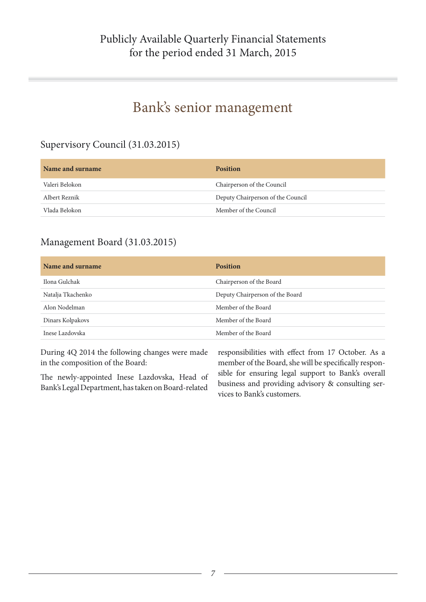### Bank's senior management

### Supervisory Council (31.03.2015)

| Name and surname | <b>Position</b>                   |
|------------------|-----------------------------------|
| Valeri Belokon   | Chairperson of the Council        |
| Albert Reznik    | Deputy Chairperson of the Council |
| Vlada Belokon    | Member of the Council             |

### Management Board (31.03.2015)

| Name and surname  | <b>Position</b>                 |
|-------------------|---------------------------------|
| Ilona Gulchak     | Chairperson of the Board        |
| Natalja Tkachenko | Deputy Chairperson of the Board |
| Alon Nodelman     | Member of the Board             |
| Dinars Kolpakovs  | Member of the Board             |
| Inese Lazdovska   | Member of the Board             |

During 4Q 2014 the following changes were made in the composition of the Board:

The newly-appointed Inese Lazdovska, Head of Bank's Legal Department, has taken on Board-related

responsibilities with effect from 17 October. As a member of the Board, she will be specifically responsible for ensuring legal support to Bank's overall business and providing advisory & consulting services to Bank's customers.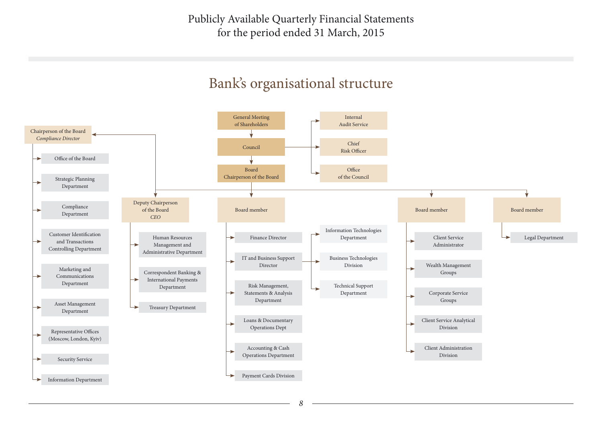Publicly Available Quarterly Financial Statements for the period ended 31 March, 2015

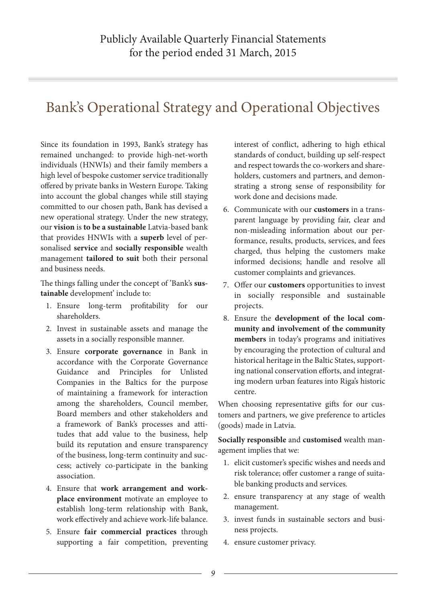### Bank's Operational Strategy and Operational Objectives

Since its foundation in 1993, Bank's strategy has remained unchanged: to provide high-net-worth individuals (HNWIs) and their family members a high level of bespoke customer service traditionally offered by private banks in Western Europe. Taking into account the global changes while still staying committed to our chosen path, Bank has devised a new operational strategy. Under the new strategy, our **vision** is **to be a sustainable** Latvia-based bank that provides HNWIs with a **superb** level of personalised **service** and **socially responsible** wealth management **tailored to suit** both their personal and business needs.

The things falling under the concept of 'Bank's **sustainable** development' include to:

- 1. Ensure long-term profitability for our shareholders.
- 2. Invest in sustainable assets and manage the assets in a socially responsible manner.
- 3. Ensure **corporate governance** in Bank in accordance with the Corporate Governance Guidance and Principles for Unlisted Companies in the Baltics for the purpose of maintaining a framework for interaction among the shareholders, Council member, Board members and other stakeholders and a framework of Bank's processes and attitudes that add value to the business, help build its reputation and ensure transparency of the business, long-term continuity and success; actively co-participate in the banking association.
- 4. Ensure that **work arrangement and workplace environment** motivate an employee to establish long-term relationship with Bank, work effectively and achieve work-life balance.
- 5. Ensure **fair commercial practices** through supporting a fair competition, preventing

interest of conflict, adhering to high ethical standards of conduct, building up self-respect and respect towards the co-workers and shareholders, customers and partners, and demonstrating a strong sense of responsibility for work done and decisions made.

- 6. Communicate with our **customers** in a transparent language by providing fair, clear and non-misleading information about our performance, results, products, services, and fees charged, thus helping the customers make informed decisions; handle and resolve all customer complaints and grievances.
- 7. Offer our **customers** opportunities to invest in socially responsible and sustainable projects.
- 8. Ensure the **development of the local community and involvement of the community members** in today's programs and initiatives by encouraging the protection of cultural and historical heritage in the Baltic States, supporting national conservation efforts, and integrating modern urban features into Riga's historic centre.

When choosing representative gifts for our customers and partners, we give preference to articles (goods) made in Latvia.

**Socially responsible** and **customised** wealth management implies that we:

- 1. elicit customer's specific wishes and needs and risk tolerance; offer customer a range of suitable banking products and services.
- 2. ensure transparency at any stage of wealth management.
- 3. invest funds in sustainable sectors and business projects.
- 4. ensure customer privacy.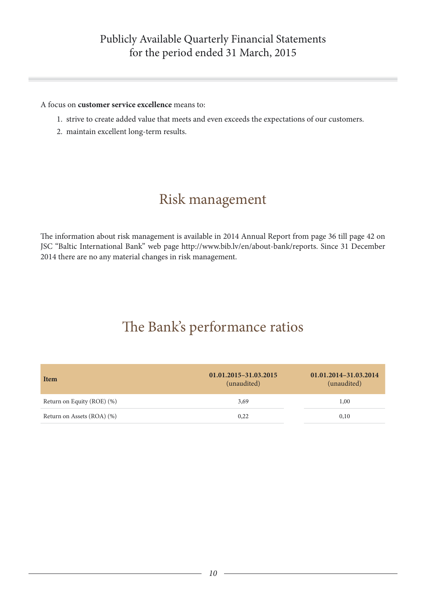### Publicly Available Quarterly Financial Statements for the period ended 31 March, 2015

#### A focus on **customer service excellence** means to:

- 1. strive to create added value that meets and even exceeds the expectations of our customers.
- 2. maintain excellent long-term results.

### Risk management

The information about risk management is available in 2014 Annual Report from page 36 till page 42 on JSC "Baltic International Bank" web page http://www.bib.lv/en/about-bank/reports. Since 31 December 2014 there are no any material changes in risk management.

### The Bank's performance ratios

| Item                       | 01.01.2015-31.03.2015<br>(unaudited) | 01.01.2014-31.03.2014<br>(unaudited) |
|----------------------------|--------------------------------------|--------------------------------------|
| Return on Equity (ROE) (%) | 3,69                                 | 1,00                                 |
| Return on Assets (ROA) (%) | 0.22                                 | 0,10                                 |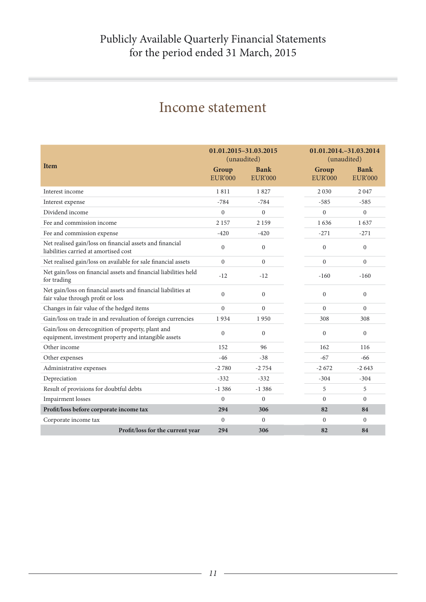| <b>Item</b>                                                                                               | 01.01.2015-31.03.2015<br>(unaudited)<br>Group<br><b>EUR'000</b> | <b>Bank</b><br><b>EUR'000</b> | Group<br><b>EUR'000</b> | 01.01.2014. - 31.03.2014<br>(unaudited)<br><b>Bank</b><br><b>EUR'000</b> |
|-----------------------------------------------------------------------------------------------------------|-----------------------------------------------------------------|-------------------------------|-------------------------|--------------------------------------------------------------------------|
| Interest income                                                                                           | 1811                                                            | 1827                          | 2 0 3 0                 | 2047                                                                     |
| Interest expense                                                                                          | $-784$                                                          | $-784$                        | $-585$                  | $-585$                                                                   |
| Dividend income                                                                                           | $\theta$                                                        | $\overline{0}$                | $\overline{0}$          | $\theta$                                                                 |
| Fee and commission income                                                                                 | 2 1 5 7                                                         | 2 1 5 9                       | 1636                    | 1637                                                                     |
| Fee and commission expense                                                                                | $-420$                                                          | $-420$                        | $-271$                  | $-271$                                                                   |
| Net realised gain/loss on financial assets and financial<br>liabilities carried at amortised cost         | $\Omega$                                                        | $\overline{0}$                | $\theta$                | $\mathbf{0}$                                                             |
| Net realised gain/loss on available for sale financial assets                                             | $\theta$                                                        | $\overline{0}$                | $\overline{0}$          | $\mathbf{0}$                                                             |
| Net gain/loss on financial assets and financial liabilities held<br>for trading                           | $-12$                                                           | $-12$                         | $-160$                  | $-160$                                                                   |
| Net gain/loss on financial assets and financial liabilities at<br>fair value through profit or loss       | $\theta$                                                        | $\overline{0}$                | $\theta$                | $\mathbf{0}$                                                             |
| Changes in fair value of the hedged items                                                                 | $\mathbf{0}$                                                    | $\overline{0}$                | $\Omega$                | $\Omega$                                                                 |
| Gain/loss on trade in and revaluation of foreign currencies                                               | 1934                                                            | 1950                          | 308                     | 308                                                                      |
| Gain/loss on derecognition of property, plant and<br>equipment, investment property and intangible assets | $\Omega$                                                        | $\overline{0}$                | $\theta$                | $\theta$                                                                 |
| Other income                                                                                              | 152                                                             | 96                            | 162                     | 116                                                                      |
| Other expenses                                                                                            | $-46$                                                           | $-38$                         | $-67$                   | $-66$                                                                    |
| Administrative expenses                                                                                   | $-2780$                                                         | $-2754$                       | $-2672$                 | $-2643$                                                                  |
| Depreciation                                                                                              | $-332$                                                          | $-332$                        | $-304$                  | $-304$                                                                   |
| Result of provisions for doubtful debts                                                                   | $-1.386$                                                        | $-1386$                       | 5                       | 5                                                                        |
| <b>Impairment</b> losses                                                                                  | $\theta$                                                        | $\theta$                      | $\theta$                | $\theta$                                                                 |
| Profit/loss before corporate income tax                                                                   | 294                                                             | 306                           | 82                      | 84                                                                       |
| Corporate income tax                                                                                      | $\Omega$                                                        | $\Omega$                      | $\Omega$                | $\Omega$                                                                 |
| Profit/loss for the current year                                                                          | 294                                                             | 306                           | 82                      | 84                                                                       |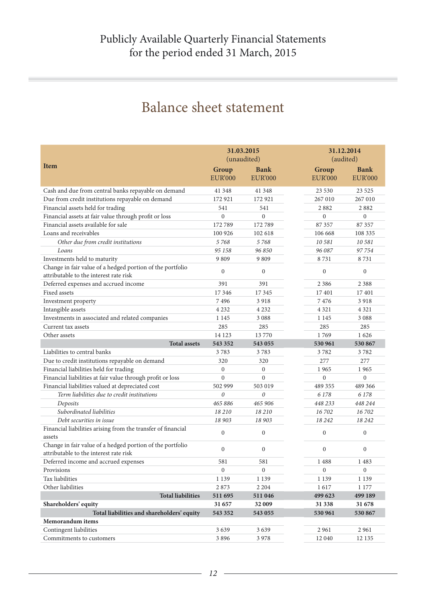### Balance sheet statement

|                                                                                                     |                         | 31.03.2015<br>(unaudited)     |                         | 31.12.2014<br>(audited)       |  |
|-----------------------------------------------------------------------------------------------------|-------------------------|-------------------------------|-------------------------|-------------------------------|--|
| <b>Item</b>                                                                                         |                         |                               |                         |                               |  |
|                                                                                                     | Group<br><b>EUR'000</b> | <b>Bank</b><br><b>EUR'000</b> | Group<br><b>EUR'000</b> | <b>Bank</b><br><b>EUR'000</b> |  |
|                                                                                                     |                         |                               |                         |                               |  |
| Cash and due from central banks repayable on demand                                                 | 41 348                  | 41 3 48                       | 23 530                  | 23 5 25                       |  |
| Due from credit institutions repayable on demand                                                    | 172 921                 | 172 921                       | 267 010                 | 267 010                       |  |
| Financial assets held for trading                                                                   | 541                     | 541                           | 2882                    | 2882                          |  |
| Financial assets at fair value through profit or loss                                               | $\overline{0}$          | $\mathbf{0}$                  | $\boldsymbol{0}$        | $\boldsymbol{0}$              |  |
| Financial assets available for sale                                                                 | 172789                  | 172789                        | 87 357                  | 87 357                        |  |
| Loans and receivables                                                                               | 100 926                 | 102 618                       | 106 668                 | 108 335                       |  |
| Other due from credit institutions                                                                  | 5768                    | 5768                          | 10 581                  | 10 581                        |  |
| Loans                                                                                               | 95 158                  | 96 850                        | 96 087                  | 97 754                        |  |
| Investments held to maturity                                                                        | 9809                    | 9809                          | 8731                    | 8731                          |  |
| Change in fair value of a hedged portion of the portfolio<br>attributable to the interest rate risk | $\mathbf{0}$            | $\boldsymbol{0}$              | $\boldsymbol{0}$        | $\boldsymbol{0}$              |  |
| Deferred expenses and accrued income                                                                | 391                     | 391                           | 2 3 8 6                 | 2 3 8 8                       |  |
| Fixed assets                                                                                        | 17 3 46                 | 17 3 45                       | 17401                   | 17401                         |  |
| Investment property                                                                                 | 7496                    | 3918                          | 7476                    | 3918                          |  |
| Intangible assets                                                                                   | 4 2 3 2                 | 4 2 3 2                       | 4 3 2 1                 | 4 3 2 1                       |  |
| Investments in associated and related companies                                                     | 1 1 4 5                 | 3 0 8 8                       | 1 1 4 5                 | 3 0 8 8                       |  |
| Current tax assets                                                                                  | 285                     | 285                           | 285                     | 285                           |  |
| Other assets                                                                                        | 14 123                  | 13770                         | 1769                    | 1626                          |  |
| <b>Total assets</b>                                                                                 | 543 352                 | 543 055                       | 530 961                 | 530 867                       |  |
| Liabilities to central banks                                                                        | 3783                    | 3783                          | 3782                    | 3782                          |  |
| Due to credit institutions repayable on demand                                                      | 320                     | 320                           | 277                     | 277                           |  |
| Financial liabilities held for trading                                                              | $\mathbf{0}$            | $\boldsymbol{0}$              | 1965                    | 1965                          |  |
| Financial liabilities at fair value through profit or loss                                          | $\theta$                | $\mathbf{0}$                  | $\boldsymbol{0}$        | $\overline{0}$                |  |
| Financial liabilities valued at depreciated cost                                                    | 502 999                 | 503 019                       | 489 355                 | 489 366                       |  |
| Term liabilities due to credit institutions                                                         | $\theta$                | $\boldsymbol{\theta}$         | 6 1 7 8                 | 6 1 7 8                       |  |
| Deposits                                                                                            | 465 886                 | 465 906                       | 448 233                 | 448 244                       |  |
| Subordinated liabilities                                                                            | 18 210                  | 18 210                        | 16702                   | 16 702                        |  |
| Debt securities in issue                                                                            | 18 903                  | 18 903                        | 18 24 2                 | 18 24 2                       |  |
| Financial liabilities arising from the transfer of financial<br>assets                              | $\overline{0}$          | $\mathbf{0}$                  | $\boldsymbol{0}$        | $\boldsymbol{0}$              |  |
| Change in fair value of a hedged portion of the portfolio<br>attributable to the interest rate risk | $\mathbf{0}$            | $\boldsymbol{0}$              | $\mathbf{0}$            | $\mathbf{0}$                  |  |
| Deferred income and accrued expenses                                                                | 581                     | 581                           | 1488                    | 1483                          |  |
| Provisions                                                                                          | $\boldsymbol{0}$        | $\boldsymbol{0}$              | $\boldsymbol{0}$        | $\boldsymbol{0}$              |  |
| Tax liabilities                                                                                     | 1 1 3 9                 | 1 1 3 9                       | 1 1 3 9                 | 1 1 3 9                       |  |
| Other liabilities                                                                                   | 2873                    | 2 2 0 4                       | 1617                    | 1 177                         |  |
| <b>Total liabilities</b>                                                                            | 511 695                 | 511 046                       | 499 623                 | 499 189                       |  |
| Shareholders' equity                                                                                | 31 657                  | 32 009                        | 31 338                  | 31 678                        |  |
| Total liabilities and shareholders' equity                                                          | 543 352                 | 543 055                       | 530 961                 | 530 867                       |  |
| Memorandum items                                                                                    |                         |                               |                         |                               |  |
| Contingent liabilities                                                                              | 3639                    | 3639                          | 2 9 6 1                 | 2961                          |  |
| Commitments to customers                                                                            | 3896                    | 3 9 7 8                       | 12 040                  | 12 135                        |  |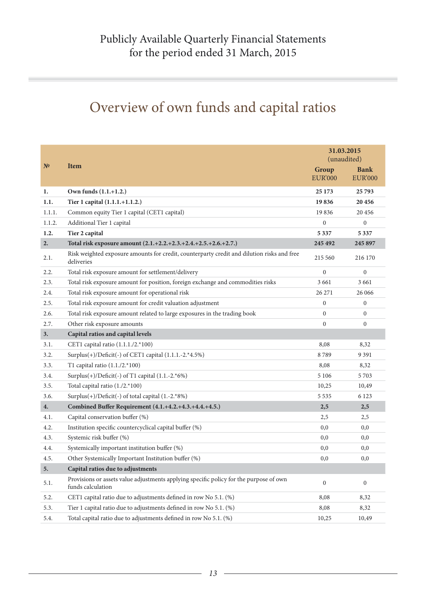# Overview of own funds and capital ratios

|              |                                                                                                             |                         | 31.03.2015<br>(unaudited)     |
|--------------|-------------------------------------------------------------------------------------------------------------|-------------------------|-------------------------------|
| $N^{\Omega}$ | <b>Item</b>                                                                                                 | Group<br><b>EUR'000</b> | <b>Bank</b><br><b>EUR'000</b> |
| 1.           | Own funds (1.1.+1.2.)                                                                                       | 25 1 73                 | 25 793                        |
| 1.1.         | Tier 1 capital (1.1.1.+1.1.2.)                                                                              | 19836                   | 20 45 6                       |
| 1.1.1.       | Common equity Tier 1 capital (CET1 capital)                                                                 | 19836                   | 20 45 6                       |
| 1.1.2.       | Additional Tier 1 capital                                                                                   | 0                       | $\boldsymbol{0}$              |
| 1.2.         | Tier 2 capital                                                                                              | 5337                    | 5 3 3 7                       |
| 2.           | Total risk exposure amount (2.1.+2.2.+2.3.+2.4.+2.5.+2.6.+2.7.)                                             | 245 492                 | 245 897                       |
| 2.1.         | Risk weighted exposure amounts for credit, counterparty credit and dilution risks and free<br>deliveries    | 215 560                 | 216 170                       |
| 2.2.         | Total risk exposure amount for settlement/delivery                                                          | $\overline{0}$          | $\mathbf{0}$                  |
| 2.3.         | Total risk exposure amount for position, foreign exchange and commodities risks                             | 3 6 6 1                 | 3 6 6 1                       |
| 2.4.         | Total risk exposure amount for operational risk                                                             | 26 27 1                 | 26 06 6                       |
| 2.5.         | Total risk exposure amount for credit valuation adjustment                                                  | $\overline{0}$          | $\boldsymbol{0}$              |
| 2.6.         | Total risk exposure amount related to large exposures in the trading book                                   | $\Omega$                | $\mathbf{0}$                  |
| 2.7.         | Other risk exposure amounts                                                                                 | $\mathbf{0}$            | $\overline{0}$                |
| 3.           | Capital ratios and capital levels                                                                           |                         |                               |
| 3.1.         | CET1 capital ratio (1.1.1./2.*100)                                                                          | 8,08                    | 8,32                          |
| 3.2.         | Surplus(+)/Deficit(-) of CET1 capital (1.1.1.-2.*4.5%)                                                      | 8789                    | 9 3 9 1                       |
| 3.3.         | T1 capital ratio $(1.1./2.*100)$                                                                            | 8,08                    | 8,32                          |
| 3.4.         | Surplus $(+)/$ Deficit $(-)$ of T1 capital $(1.1.-2.*6%)$                                                   | 5 1 0 6                 | 5703                          |
| 3.5.         | Total capital ratio (1./2.*100)                                                                             | 10,25                   | 10,49                         |
| 3.6.         | Surplus(+)/Deficit(-) of total capital (1.-2.*8%)                                                           | 5 5 3 5                 | 6 1 2 3                       |
| 4.           | Combined Buffer Requirement (4.1.+4.2.+4.3.+4.4.+4.5.)                                                      | 2,5                     | 2,5                           |
| 4.1.         | Capital conservation buffer (%)                                                                             | 2,5                     | 2,5                           |
| 4.2.         | Institution specific countercyclical capital buffer (%)                                                     | 0,0                     | 0,0                           |
| 4.3.         | Systemic risk buffer (%)                                                                                    | 0,0                     | 0,0                           |
| 4.4.         | Systemically important institution buffer (%)                                                               | 0,0                     | 0,0                           |
| 4.5.         | Other Systemically Important Institution buffer (%)                                                         | 0,0                     | 0,0                           |
| 5.           | Capital ratios due to adjustments                                                                           |                         |                               |
| 5.1.         | Provisions or assets value adjustments applying specific policy for the purpose of own<br>funds calculation | $\boldsymbol{0}$        | $\boldsymbol{0}$              |
| 5.2.         | CET1 capital ratio due to adjustments defined in row No 5.1. (%)                                            | 8,08                    | 8,32                          |
| 5.3.         | Tier 1 capital ratio due to adjustments defined in row No 5.1. (%)                                          | 8,08                    | 8,32                          |
| 5.4.         | Total capital ratio due to adjustments defined in row No 5.1. (%)                                           | 10,25                   | 10,49                         |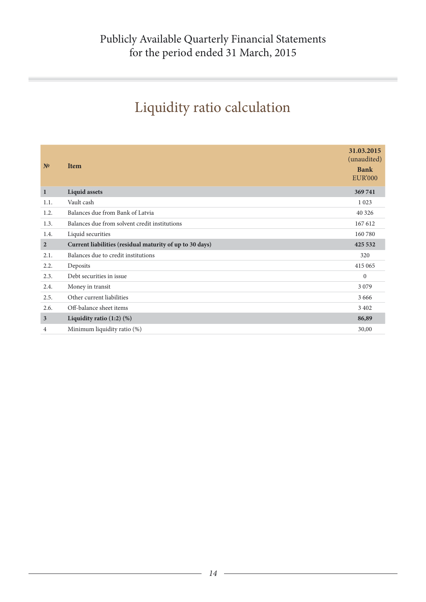# Liquidity ratio calculation

| N <sup>0</sup> | <b>Item</b>                                              | 31.03.2015<br>(unaudited)<br><b>Bank</b><br><b>EUR'000</b> |
|----------------|----------------------------------------------------------|------------------------------------------------------------|
| $\mathbf{1}$   | <b>Liquid assets</b>                                     | 369741                                                     |
| 1.1.           | Vault cash                                               | 1 0 2 3                                                    |
| 1.2.           | Balances due from Bank of Latvia                         | 40 3 26                                                    |
| 1.3.           | Balances due from solvent credit institutions            | 167 612                                                    |
| 1.4.           | Liquid securities                                        | 160 780                                                    |
| $\overline{2}$ | Current liabilities (residual maturity of up to 30 days) | 425 532                                                    |
| 2.1.           | Balances due to credit institutions                      | 320                                                        |
| 2.2.           | Deposits                                                 | 415 065                                                    |
| 2.3.           | Debt securities in issue                                 | $\mathbf{0}$                                               |
| 2.4.           | Money in transit                                         | 3 0 7 9                                                    |
| 2.5.           | Other current liabilities                                | 3 6 6 6                                                    |
| 2.6.           | Off-balance sheet items                                  | 3 4 0 2                                                    |
| $\mathbf{3}$   | Liquidity ratio $(1:2)$ $(\%)$                           | 86,89                                                      |
| 4              | Minimum liquidity ratio (%)                              | 30,00                                                      |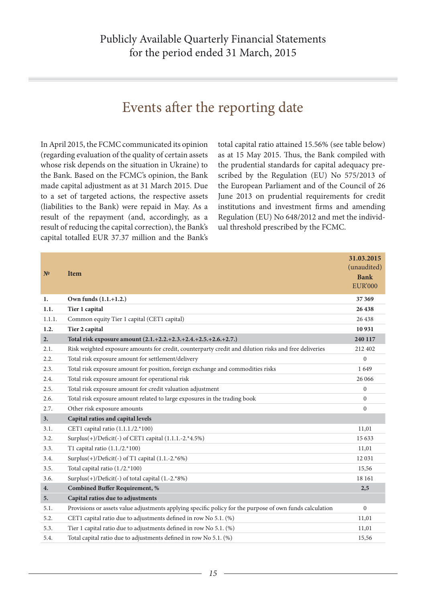### Events after the reporting date

In April 2015, the FCMC communicated its opinion (regarding evaluation of the quality of certain assets whose risk depends on the situation in Ukraine) to the Bank. Based on the FCMC's opinion, the Bank made capital adjustment as at 31 March 2015. Due to a set of targeted actions, the respective assets (liabilities to the Bank) were repaid in May. As a result of the repayment (and, accordingly, as a result of reducing the capital correction), the Bank's capital totalled EUR 37.37 million and the Bank's

total capital ratio attained 15.56% (see table below) as at 15 May 2015. Thus, the Bank compiled with the prudential standards for capital adequacy prescribed by the Regulation (EU) No 575/2013 of the European Parliament and of the Council of 26 June 2013 on prudential requirements for credit institutions and investment firms and amending Regulation (EU) No 648/2012 and met the individual threshold prescribed by the FCMC.

| N <sup>0</sup> | <b>Item</b>                                                                                              | 31.03.2015<br>(unaudited)<br><b>Bank</b><br><b>EUR'000</b> |
|----------------|----------------------------------------------------------------------------------------------------------|------------------------------------------------------------|
| 1.             | Own funds (1.1.+1.2.)                                                                                    | 37 369                                                     |
| 1.1.           | Tier 1 capital                                                                                           | 26 438                                                     |
| 1.1.1.         | Common equity Tier 1 capital (CET1 capital)                                                              | 26 438                                                     |
| 1.2.           | Tier 2 capital                                                                                           | 10931                                                      |
| 2.             | Total risk exposure amount (2.1.+2.2.+2.3.+2.4.+2.5.+2.6.+2.7.)                                          | 240 117                                                    |
| 2.1.           | Risk weighted exposure amounts for credit, counterparty credit and dilution risks and free deliveries    | 212 402                                                    |
| 2.2.           | Total risk exposure amount for settlement/delivery                                                       | $\Omega$                                                   |
| 2.3.           | Total risk exposure amount for position, foreign exchange and commodities risks                          | 1649                                                       |
| 2.4.           | Total risk exposure amount for operational risk                                                          | 26 06 6                                                    |
| 2.5.           | Total risk exposure amount for credit valuation adjustment                                               | $\overline{0}$                                             |
| 2.6.           | Total risk exposure amount related to large exposures in the trading book                                | $\Omega$                                                   |
| 2.7.           | Other risk exposure amounts                                                                              | $\overline{0}$                                             |
| 3.             | Capital ratios and capital levels                                                                        |                                                            |
| 3.1.           | CET1 capital ratio (1.1.1./2.*100)                                                                       | 11,01                                                      |
| 3.2.           | Surplus(+)/Deficit(-) of CET1 capital (1.1.1.-2.*4.5%)                                                   | 15633                                                      |
| 3.3.           | T1 capital ratio $(1.1./2.*100)$                                                                         | 11,01                                                      |
| 3.4.           | Surplus $(+)/$ Deficit $(-)$ of T1 capital $(1.1.-2.^*6%)$                                               | 12 03 1                                                    |
| 3.5.           | Total capital ratio (1./2.*100)                                                                          | 15,56                                                      |
| 3.6.           | Surplus(+)/Deficit(-) of total capital (1.-2.*8%)                                                        | 18 16 1                                                    |
| 4.             | <b>Combined Buffer Requirement, %</b>                                                                    | 2,5                                                        |
| 5.             | Capital ratios due to adjustments                                                                        |                                                            |
| 5.1.           | Provisions or assets value adjustments applying specific policy for the purpose of own funds calculation | $\Omega$                                                   |
| 5.2.           | CET1 capital ratio due to adjustments defined in row No 5.1. (%)                                         | 11,01                                                      |
| 5.3.           | Tier 1 capital ratio due to adjustments defined in row No 5.1. (%)                                       | 11,01                                                      |
| 5.4.           | Total capital ratio due to adjustments defined in row No 5.1. (%)                                        | 15,56                                                      |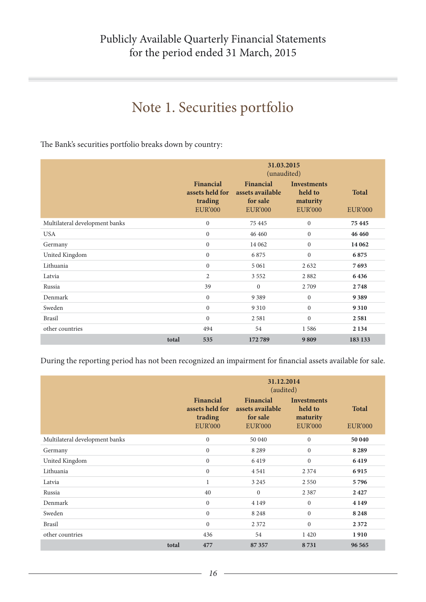### Note 1. Securities portfolio

The Bank's securities portfolio breaks down by country:

|                                |       | 31.03.2015<br>(unaudited)                                 |                                                             |                                                             |                                |
|--------------------------------|-------|-----------------------------------------------------------|-------------------------------------------------------------|-------------------------------------------------------------|--------------------------------|
|                                |       | Financial<br>assets held for<br>trading<br><b>EUR'000</b> | Financial<br>assets available<br>for sale<br><b>EUR'000</b> | <b>Investments</b><br>held to<br>maturity<br><b>EUR'000</b> | <b>Total</b><br><b>EUR'000</b> |
| Multilateral development banks |       | $\boldsymbol{0}$                                          | 75 4 45                                                     | $\boldsymbol{0}$                                            | 75 445                         |
| <b>USA</b>                     |       | $\mathbf{0}$                                              | 46 460                                                      | $\boldsymbol{0}$                                            | 46 460                         |
| Germany                        |       | $\mathbf{0}$                                              | 14 062                                                      | $\overline{0}$                                              | 14 062                         |
| United Kingdom                 |       | $\mathbf{0}$                                              | 6875                                                        | $\Omega$                                                    | 6875                           |
| Lithuania                      |       | $\mathbf{0}$                                              | 5 0 6 1                                                     | 2632                                                        | 7693                           |
| Latvia                         |       | $\overline{2}$                                            | 3 5 5 2                                                     | 2882                                                        | 6436                           |
| Russia                         |       | 39                                                        | $\mathbf{0}$                                                | 2709                                                        | 2748                           |
| Denmark                        |       | $\boldsymbol{0}$                                          | 9 3 8 9                                                     | $\boldsymbol{0}$                                            | 9389                           |
| Sweden                         |       | $\mathbf{0}$                                              | 9 3 1 0                                                     | $\overline{0}$                                              | 9 3 1 0                        |
| <b>Brasil</b>                  |       | $\mathbf{0}$                                              | 2581                                                        | $\mathbf{0}$                                                | 2581                           |
| other countries                |       | 494                                                       | 54                                                          | 1586                                                        | 2 1 3 4                        |
|                                | total | 535                                                       | 172789                                                      | 9809                                                        | 183 133                        |

During the reporting period has not been recognized an impairment for financial assets available for sale.

|                                |       | 31.12.2014<br>(audited)<br>Financial<br>Financial<br><b>Investments</b><br>held to<br>assets held for<br>assets available<br>trading<br>for sale<br>maturity<br><b>EUR'000</b><br><b>EUR'000</b><br><b>EUR'000</b> |          |                  | <b>Total</b><br><b>EUR'000</b> |
|--------------------------------|-------|--------------------------------------------------------------------------------------------------------------------------------------------------------------------------------------------------------------------|----------|------------------|--------------------------------|
| Multilateral development banks |       | $\boldsymbol{0}$                                                                                                                                                                                                   | 50 040   | $\mathbf{0}$     | 50 040                         |
| Germany                        |       | $\overline{0}$                                                                                                                                                                                                     | 8 2 8 9  | $\mathbf{0}$     | 8 2 8 9                        |
| United Kingdom                 |       | $\boldsymbol{0}$                                                                                                                                                                                                   | 6419     | $\mathbf{0}$     | 6419                           |
| Lithuania                      |       | $\overline{0}$                                                                                                                                                                                                     | 4 5 4 1  | 2 3 7 4          | 6915                           |
| Latvia                         |       | 1                                                                                                                                                                                                                  | 3 2 4 5  | 2 5 5 0          | 5796                           |
| Russia                         |       | 40                                                                                                                                                                                                                 | $\Omega$ | 2 3 8 7          | 2427                           |
| Denmark                        |       | $\boldsymbol{0}$                                                                                                                                                                                                   | 4 1 4 9  | $\boldsymbol{0}$ | 4 1 4 9                        |
| Sweden                         |       | $\overline{0}$                                                                                                                                                                                                     | 8 2 4 8  | $\mathbf{0}$     | 8 2 4 8                        |
| <b>Brasil</b>                  |       | $\overline{0}$                                                                                                                                                                                                     | 2 3 7 2  | $\mathbf{0}$     | 2372                           |
| other countries                |       | 436                                                                                                                                                                                                                | 54       | 1 4 2 0          | 1910                           |
|                                | total | 477                                                                                                                                                                                                                | 87 357   | 8731             | 96 565                         |